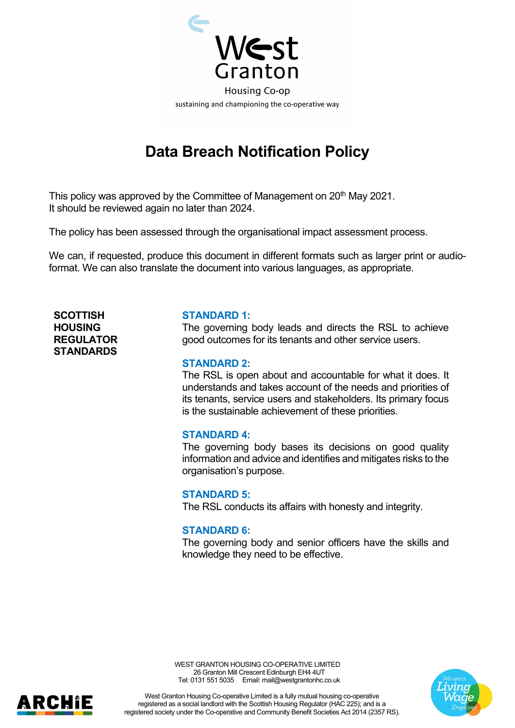

# **Data Breach Notification Policy**

This policy was approved by the Committee of Management on 20<sup>th</sup> May 2021. It should be reviewed again no later than 2024.

The policy has been assessed through the organisational impact assessment process.

We can, if requested, produce this document in different formats such as larger print or audioformat. We can also translate the document into various languages, as appropriate.

**SCOTTISH HOUSING REGULATOR STANDARDS**

ARCHIE

#### **STANDARD 1:**

The governing body leads and directs the RSL to achieve good outcomes for its tenants and other service users.

#### **STANDARD 2:**

The RSL is open about and accountable for what it does. It understands and takes account of the needs and priorities of its tenants, service users and stakeholders. Its primary focus is the sustainable achievement of these priorities.

### **STANDARD 4:**

The governing body bases its decisions on good quality information and advice and identifies and mitigates risks to the organisation's purpose.

#### **STANDARD 5:**

The RSL conducts its affairs with honesty and integrity.

### **STANDARD 6:**

The governing body and senior officers have the skills and knowledge they need to be effective.





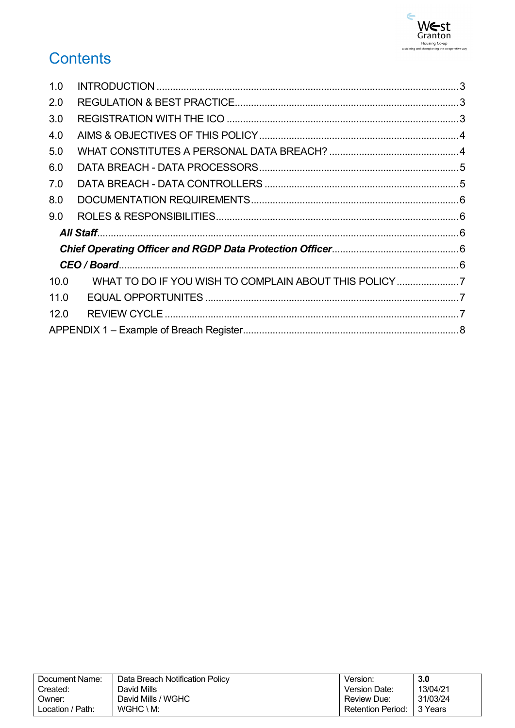

# **Contents**

| 1.0  |  |
|------|--|
| 2.0  |  |
| 3.0  |  |
| 4.0  |  |
| 5.0  |  |
| 6.0  |  |
| 7.0  |  |
| 8.0  |  |
| 9.0  |  |
|      |  |
|      |  |
|      |  |
| 10.0 |  |
| 11.0 |  |
| 12.0 |  |
|      |  |

| Document Name:   | Data Breach Notification Policy | Version:                 | 3.0      |
|------------------|---------------------------------|--------------------------|----------|
| Created:         | David Mills                     | Version Date:            | 13/04/21 |
| Owner:           | David Mills / WGHC              | Review Due:              | 31/03/24 |
| Location / Path: | $WGHC \setminus M$ :            | <b>Retention Period:</b> | 3 Years  |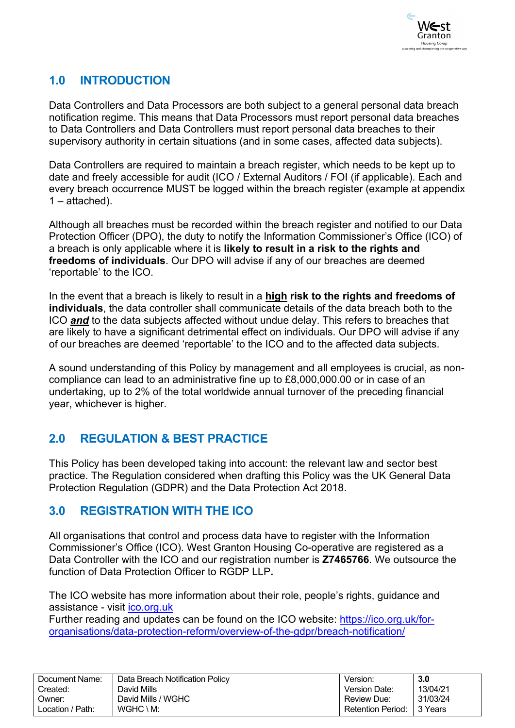

# <span id="page-2-0"></span>**1.0 INTRODUCTION**

Data Controllers and Data Processors are both subject to a general personal data breach notification regime. This means that Data Processors must report personal data breaches to Data Controllers and Data Controllers must report personal data breaches to their supervisory authority in certain situations (and in some cases, affected data subjects).

Data Controllers are required to maintain a breach register, which needs to be kept up to date and freely accessible for audit (ICO / External Auditors / FOI (if applicable). Each and every breach occurrence MUST be logged within the breach register (example at appendix  $1 -$ attached).

Although all breaches must be recorded within the breach register and notified to our Data Protection Officer (DPO), the duty to notify the Information Commissioner's Office (ICO) of a breach is only applicable where it is **likely to result in a risk to the rights and freedoms of individuals**. Our DPO will advise if any of our breaches are deemed 'reportable' to the ICO.

In the event that a breach is likely to result in a **high risk to the rights and freedoms of individuals**, the data controller shall communicate details of the data breach both to the ICO *and* to the data subjects affected without undue delay. This refers to breaches that are likely to have a significant detrimental effect on individuals. Our DPO will advise if any of our breaches are deemed 'reportable' to the ICO and to the affected data subjects.

A sound understanding of this Policy by management and all employees is crucial, as noncompliance can lead to an administrative fine up to £8,000,000.00 or in case of an undertaking, up to 2% of the total worldwide annual turnover of the preceding financial year, whichever is higher.

### <span id="page-2-1"></span>**2.0 REGULATION & BEST PRACTICE**

This Policy has been developed taking into account: the relevant law and sector best practice. The Regulation considered when drafting this Policy was the UK General Data Protection Regulation (GDPR) and the Data Protection Act 2018.

### <span id="page-2-2"></span>**3.0 REGISTRATION WITH THE ICO**

All organisations that control and process data have to register with the Information Commissioner's Office (ICO). West Granton Housing Co-operative are registered as a Data Controller with the ICO and our registration number is **Z7465766**. We outsource the function of Data Protection Officer to RGDP LLP**.**

The ICO website has more information about their role, people's rights, guidance and assistance - visit [ico.org.uk](https://www.ico.org.uk/)

Further reading and updates can be found on the ICO website: [https://ico.org.uk/for](https://ico.org.uk/for-organisations/data-protection-reform/overview-of-the-gdpr/breach-notification/)[organisations/data-protection-reform/overview-of-the-gdpr/breach-notification/](https://ico.org.uk/for-organisations/data-protection-reform/overview-of-the-gdpr/breach-notification/)

| Document Name:   | Data Breach Notification Policy | Version:                 | 3.0       |
|------------------|---------------------------------|--------------------------|-----------|
| Created:         | David Mills                     | Version Date:            | 13/04/21  |
| ⊃wner:           | David Mills / WGHC              | <b>Review Due:</b>       | 31/03/24  |
| ∟ocation / Path: | $WGHC \setminus M$ :            | <b>Retention Period:</b> | l 3 Years |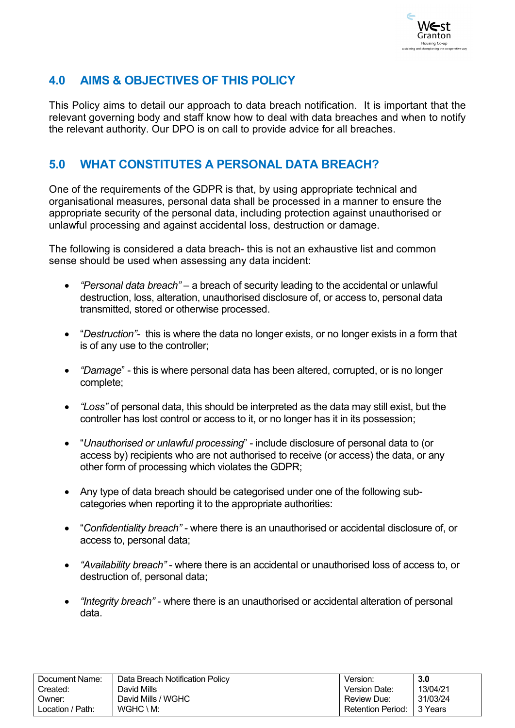

## <span id="page-3-0"></span>**4.0 AIMS & OBJECTIVES OF THIS POLICY**

This Policy aims to detail our approach to data breach notification. It is important that the relevant governing body and staff know how to deal with data breaches and when to notify the relevant authority. Our DPO is on call to provide advice for all breaches.

### <span id="page-3-1"></span>**5.0 WHAT CONSTITUTES A PERSONAL DATA BREACH?**

One of the requirements of the GDPR is that, by using appropriate technical and organisational measures, personal data shall be processed in a manner to ensure the appropriate security of the personal data, including protection against unauthorised or unlawful processing and against accidental loss, destruction or damage.

The following is considered a data breach- this is not an exhaustive list and common sense should be used when assessing any data incident:

- *"Personal data breach"* a breach of security leading to the accidental or unlawful destruction, loss, alteration, unauthorised disclosure of, or access to, personal data transmitted, stored or otherwise processed.
- "*Destruction"-* this is where the data no longer exists, or no longer exists in a form that is of any use to the controller;
- *"Damage*" this is where personal data has been altered, corrupted, or is no longer complete;
- *"Loss"* of personal data, this should be interpreted as the data may still exist, but the controller has lost control or access to it, or no longer has it in its possession;
- "*Unauthorised or unlawful processing*" include disclosure of personal data to (or access by) recipients who are not authorised to receive (or access) the data, or any other form of processing which violates the GDPR;
- Any type of data breach should be categorised under one of the following subcategories when reporting it to the appropriate authorities:
- "*Confidentiality breach" -* where there is an unauthorised or accidental disclosure of, or access to, personal data;
- *"Availability breach"* where there is an accidental or unauthorised loss of access to, or destruction of, personal data;
- *"Integrity breach"* where there is an unauthorised or accidental alteration of personal data.

| Document Name:   | Data Breach Notification Policy | Version.                 | 3.0      |
|------------------|---------------------------------|--------------------------|----------|
| Created:         | David Mills                     | Version Date:            | 13/04/21 |
| Owner:           | David Mills / WGHC              | Review Due:              | 31/03/24 |
| Location / Path: | $WGHC \setminus M$ :            | <b>Retention Period:</b> | 3 Years  |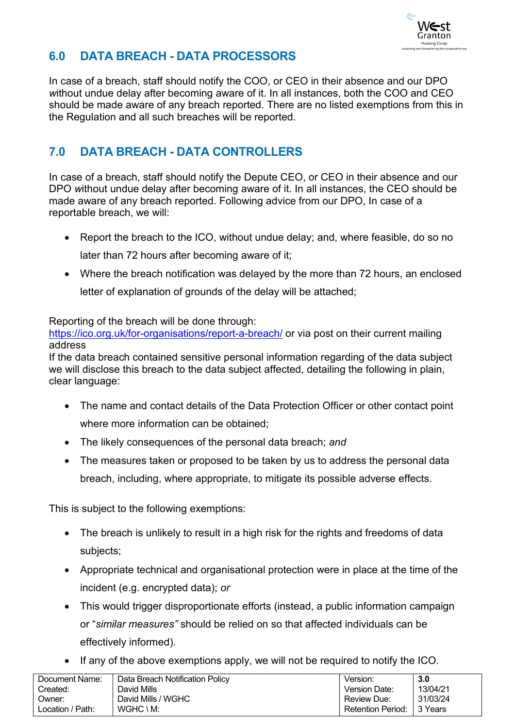

# <span id="page-4-0"></span>**6.0 DATA BREACH - DATA PROCESSORS**

In case of a breach, staff should notify the COO, or CEO in their absence and our DPO *w*ithout undue delay after becoming aware of it. In all instances, both the COO and CEO should be made aware of any breach reported. There are no listed exemptions from this in the Regulation and all such breaches will be reported.

# <span id="page-4-1"></span>**7.0 DATA BREACH - DATA CONTROLLERS**

In case of a breach, staff should notify the Depute CEO, or CEO in their absence and our DPO *w*ithout undue delay after becoming aware of it. In all instances, the CEO should be made aware of any breach reported. Following advice from our DPO, In case of a reportable breach, we will:

- Report the breach to the ICO, without undue delay; and, where feasible, do so no later than 72 hours after becoming aware of it;
- Where the breach notification was delayed by the more than 72 hours, an enclosed letter of explanation of grounds of the delay will be attached;

Reporting of the breach will be done through:

<https://ico.org.uk/for-organisations/report-a-breach/> or via post on their current mailing address

If the data breach contained sensitive personal information regarding of the data subject we will disclose this breach to the data subject affected, detailing the following in plain, clear language:

- The name and contact details of the Data Protection Officer or other contact point where more information can be obtained;
- The likely consequences of the personal data breach; *and*
- The measures taken or proposed to be taken by us to address the personal data breach, including, where appropriate, to mitigate its possible adverse effects.

This is subject to the following exemptions:

- The breach is unlikely to result in a high risk for the rights and freedoms of data subjects;
- Appropriate technical and organisational protection were in place at the time of the incident (e.g. encrypted data); *or*
- This would trigger disproportionate efforts (instead, a public information campaign or "*similar measures"* should be relied on so that affected individuals can be effectively informed).
- If any of the above exemptions apply, we will not be required to notify the ICO.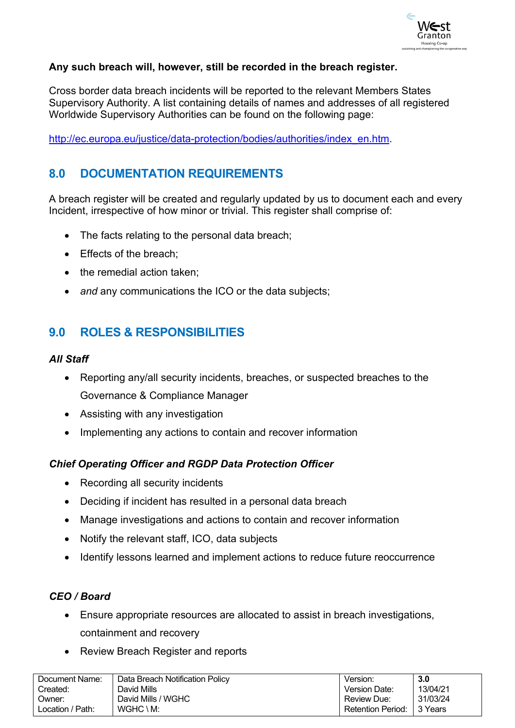

### **Any such breach will, however, still be recorded in the breach register.**

Cross border data breach incidents will be reported to the relevant Members States Supervisory Authority. A list containing details of names and addresses of all registered Worldwide Supervisory Authorities can be found on the following page:

[http://ec.europa.eu/justice/data-protection/bodies/authorities/index\\_en.htm.](http://ec.europa.eu/justice/data-protection/bodies/authorities/index_en.htm)

# <span id="page-5-0"></span>**8.0 DOCUMENTATION REQUIREMENTS**

A breach register will be created and regularly updated by us to document each and every Incident, irrespective of how minor or trivial. This register shall comprise of:

- The facts relating to the personal data breach;
- Effects of the breach:
- the remedial action taken;
- *and* any communications the ICO or the data subjects;

# <span id="page-5-1"></span>**9.0 ROLES & RESPONSIBILITIES**

### <span id="page-5-2"></span>*All Staff*

- Reporting any/all security incidents, breaches, or suspected breaches to the Governance & Compliance Manager
- Assisting with any investigation
- Implementing any actions to contain and recover information

### <span id="page-5-3"></span>*Chief Operating Officer and RGDP Data Protection Officer*

- Recording all security incidents
- Deciding if incident has resulted in a personal data breach
- Manage investigations and actions to contain and recover information
- Notify the relevant staff, ICO, data subjects
- Identify lessons learned and implement actions to reduce future reoccurrence

### <span id="page-5-4"></span>*CEO / Board*

- Ensure appropriate resources are allocated to assist in breach investigations, containment and recovery
- Review Breach Register and reports

| Document Name:   | Data Breach Notification Policy | Version.                    | 3.0      |
|------------------|---------------------------------|-----------------------------|----------|
| Created:         | David Mills                     | Version Date:               | 13/04/21 |
| Owner:           | David Mills / WGHC              | Review Due:                 | 31/03/24 |
| Location / Path: | WGHC \ M:                       | Retention Period: 1 3 Years |          |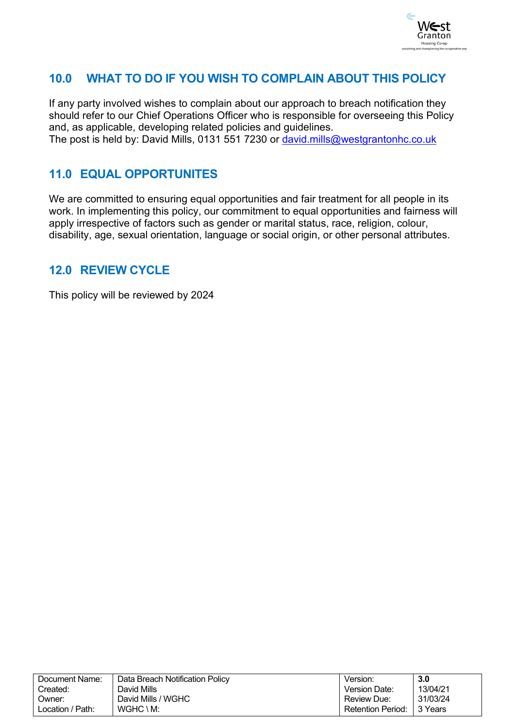

## <span id="page-6-0"></span>**10.0 WHAT TO DO IF YOU WISH TO COMPLAIN ABOUT THIS POLICY**

If any party involved wishes to complain about our approach to breach notification they should refer to our Chief Operations Officer who is responsible for overseeing this Policy and, as applicable, developing related policies and guidelines. The post is held by: David Mills, 0131 551 7230 or [david.mills@westgrantonhc.co.uk](mailto:david.mills@westgrantonhc.co.uk)

## <span id="page-6-1"></span>**11.0 EQUAL OPPORTUNITES**

We are committed to ensuring equal opportunities and fair treatment for all people in its work. In implementing this policy, our commitment to equal opportunities and fairness will apply irrespective of factors such as gender or marital status, race, religion, colour, disability, age, sexual orientation, language or social origin, or other personal attributes.

### <span id="page-6-2"></span>**12.0 REVIEW CYCLE**

This policy will be reviewed by 2024

| Document Name:   | Data Breach Notification Policy | Version:                 | 3.0       |
|------------------|---------------------------------|--------------------------|-----------|
| Created:         | David Mills                     | Version Date:            | 13/04/21  |
| Owner:           | David Mills / WGHC              | Review Due:              | 31/03/24  |
| Location / Path: | $WGHC \setminus M$ :            | <b>Retention Period:</b> | l 3 Years |